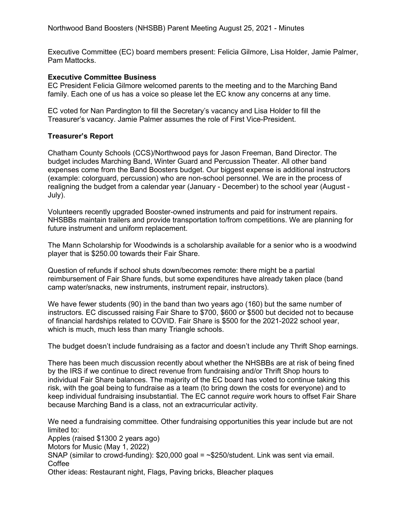Executive Committee (EC) board members present: Felicia Gilmore, Lisa Holder, Jamie Palmer, Pam Mattocks.

## **Executive Committee Business**

EC President Felicia Gilmore welcomed parents to the meeting and to the Marching Band family. Each one of us has a voice so please let the EC know any concerns at any time.

EC voted for Nan Pardington to fill the Secretary's vacancy and Lisa Holder to fill the Treasurer's vacancy. Jamie Palmer assumes the role of First Vice-President.

## **Treasurer's Report**

Chatham County Schools (CCS)/Northwood pays for Jason Freeman, Band Director. The budget includes Marching Band, Winter Guard and Percussion Theater. All other band expenses come from the Band Boosters budget. Our biggest expense is additional instructors (example: colorguard, percussion) who are non-school personnel. We are in the process of realigning the budget from a calendar year (January - December) to the school year (August - July).

Volunteers recently upgraded Booster-owned instruments and paid for instrument repairs. NHSBBs maintain trailers and provide transportation to/from competitions. We are planning for future instrument and uniform replacement.

The Mann Scholarship for Woodwinds is a scholarship available for a senior who is a woodwind player that is \$250.00 towards their Fair Share.

Question of refunds if school shuts down/becomes remote: there might be a partial reimbursement of Fair Share funds, but some expenditures have already taken place (band camp water/snacks, new instruments, instrument repair, instructors).

We have fewer students (90) in the band than two years ago (160) but the same number of instructors. EC discussed raising Fair Share to \$700, \$600 or \$500 but decided not to because of financial hardships related to COVID. Fair Share is \$500 for the 2021-2022 school year, which is much, much less than many Triangle schools.

The budget doesn't include fundraising as a factor and doesn't include any Thrift Shop earnings.

There has been much discussion recently about whether the NHSBBs are at risk of being fined by the IRS if we continue to direct revenue from fundraising and/or Thrift Shop hours to individual Fair Share balances. The majority of the EC board has voted to continue taking this risk, with the goal being to fundraise as a team (to bring down the costs for everyone) and to keep individual fundraising insubstantial. The EC cannot *require* work hours to offset Fair Share because Marching Band is a class, not an extracurricular activity.

We need a fundraising committee. Other fundraising opportunities this year include but are not limited to: Apples (raised \$1300 2 years ago)

Motors for Music (May 1, 2022)

SNAP (similar to crowd-funding):  $$20,000$  goal =  $\sim$ \$250/student. Link was sent via email. **Coffee** 

Other ideas: Restaurant night, Flags, Paving bricks, Bleacher plaques